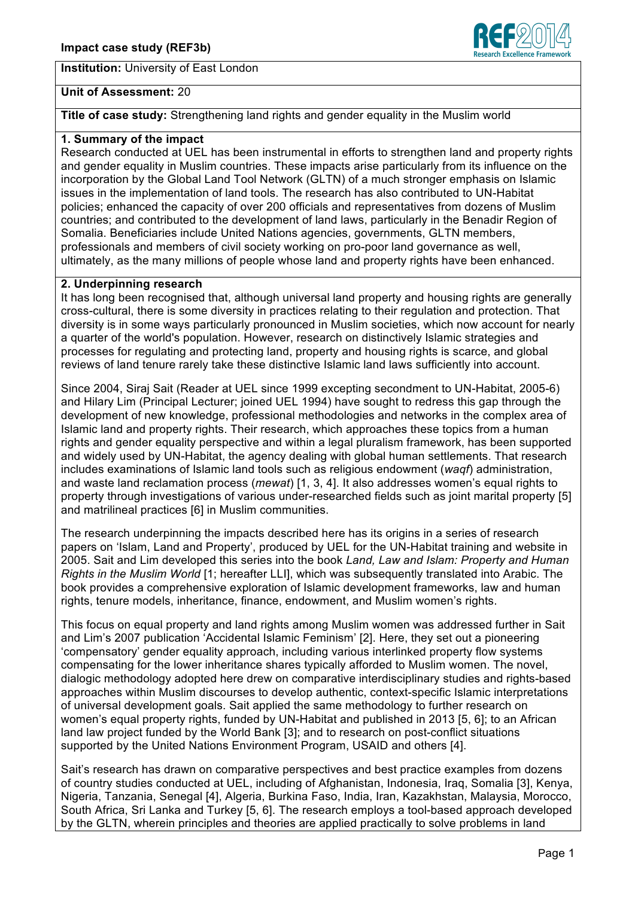**Institution:** University of East London



### **Unit of Assessment:** 20

**Title of case study:** Strengthening land rights and gender equality in the Muslim world

# **1. Summary of the impact**

Research conducted at UEL has been instrumental in efforts to strengthen land and property rights and gender equality in Muslim countries. These impacts arise particularly from its influence on the incorporation by the Global Land Tool Network (GLTN) of a much stronger emphasis on Islamic issues in the implementation of land tools. The research has also contributed to UN-Habitat policies; enhanced the capacity of over 200 officials and representatives from dozens of Muslim countries; and contributed to the development of land laws, particularly in the Benadir Region of Somalia. Beneficiaries include United Nations agencies, governments, GLTN members, professionals and members of civil society working on pro-poor land governance as well, ultimately, as the many millions of people whose land and property rights have been enhanced.

### **2. Underpinning research**

It has long been recognised that, although universal land property and housing rights are generally cross-cultural, there is some diversity in practices relating to their regulation and protection. That diversity is in some ways particularly pronounced in Muslim societies, which now account for nearly a quarter of the world's population. However, research on distinctively Islamic strategies and processes for regulating and protecting land, property and housing rights is scarce, and global reviews of land tenure rarely take these distinctive Islamic land laws sufficiently into account.

Since 2004, Siraj Sait (Reader at UEL since 1999 excepting secondment to UN-Habitat, 2005-6) and Hilary Lim (Principal Lecturer; joined UEL 1994) have sought to redress this gap through the development of new knowledge, professional methodologies and networks in the complex area of Islamic land and property rights. Their research, which approaches these topics from a human rights and gender equality perspective and within a legal pluralism framework, has been supported and widely used by UN-Habitat, the agency dealing with global human settlements. That research includes examinations of Islamic land tools such as religious endowment (*waqf*) administration, and waste land reclamation process (*mewat*) [1, 3, 4]. It also addresses women's equal rights to property through investigations of various under-researched fields such as joint marital property [5] and matrilineal practices [6] in Muslim communities.

The research underpinning the impacts described here has its origins in a series of research papers on 'Islam, Land and Property', produced by UEL for the UN-Habitat training and website in 2005. Sait and Lim developed this series into the book *Land, Law and Islam: Property and Human Rights in the Muslim World* [1; hereafter LLI], which was subsequently translated into Arabic. The book provides a comprehensive exploration of Islamic development frameworks, law and human rights, tenure models, inheritance, finance, endowment, and Muslim women's rights.

This focus on equal property and land rights among Muslim women was addressed further in Sait and Lim's 2007 publication 'Accidental Islamic Feminism' [2]. Here, they set out a pioneering 'compensatory' gender equality approach, including various interlinked property flow systems compensating for the lower inheritance shares typically afforded to Muslim women. The novel, dialogic methodology adopted here drew on comparative interdisciplinary studies and rights-based approaches within Muslim discourses to develop authentic, context-specific Islamic interpretations of universal development goals. Sait applied the same methodology to further research on women's equal property rights, funded by UN-Habitat and published in 2013 [5, 6]; to an African land law project funded by the World Bank [3]; and to research on post-conflict situations supported by the United Nations Environment Program, USAID and others [4].

Sait's research has drawn on comparative perspectives and best practice examples from dozens of country studies conducted at UEL, including of Afghanistan, Indonesia, Iraq, Somalia [3], Kenya, Nigeria, Tanzania, Senegal [4], Algeria, Burkina Faso, India, Iran, Kazakhstan, Malaysia, Morocco, South Africa, Sri Lanka and Turkey [5, 6]. The research employs a tool-based approach developed by the GLTN, wherein principles and theories are applied practically to solve problems in land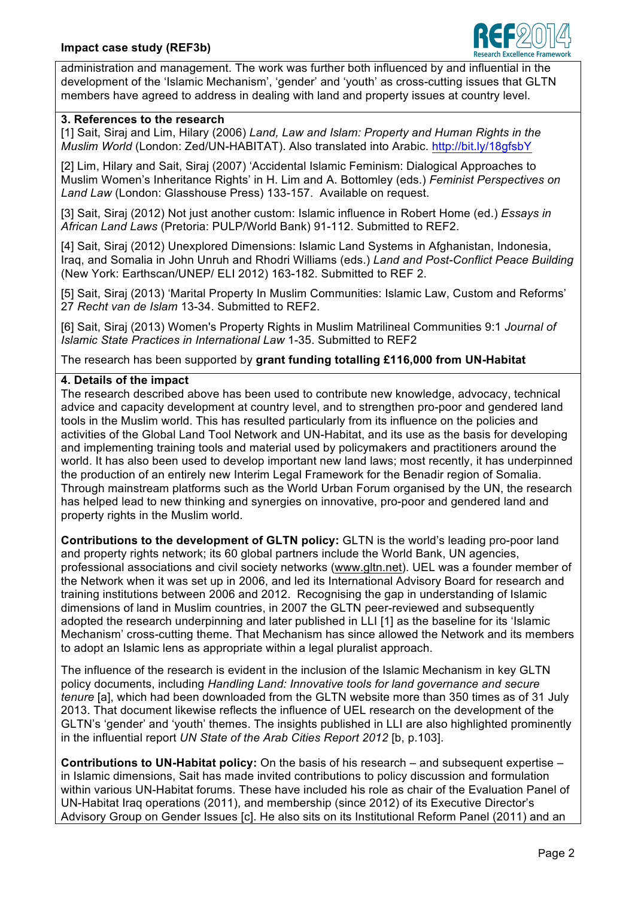

administration and management. The work was further both influenced by and influential in the development of the 'Islamic Mechanism', 'gender' and 'youth' as cross-cutting issues that GLTN members have agreed to address in dealing with land and property issues at country level.

## **3. References to the research**

[1] Sait, Siraj and Lim, Hilary (2006) *Land, Law and Islam: Property and Human Rights in the Muslim World* (London: Zed/UN-HABITAT). Also translated into Arabic. http://bit.ly/18gfsbY

[2] Lim, Hilary and Sait, Siraj (2007) 'Accidental Islamic Feminism: Dialogical Approaches to Muslim Women's Inheritance Rights' in H. Lim and A. Bottomley (eds.) *Feminist Perspectives on Land Law* (London: Glasshouse Press) 133-157. Available on request.

[3] Sait, Siraj (2012) Not just another custom: Islamic influence in Robert Home (ed.) *Essays in African Land Laws* (Pretoria: PULP/World Bank) 91-112. Submitted to REF2.

[4] Sait, Siraj (2012) Unexplored Dimensions: Islamic Land Systems in Afghanistan, Indonesia, Iraq, and Somalia in John Unruh and Rhodri Williams (eds.) *Land and Post-Conflict Peace Building* (New York: Earthscan/UNEP/ ELI 2012) 163-182. Submitted to REF 2.

[5] Sait, Siraj (2013) 'Marital Property In Muslim Communities: Islamic Law, Custom and Reforms' 27 *Recht van de Islam* 13-34. Submitted to REF2.

[6] Sait, Siraj (2013) Women's Property Rights in Muslim Matrilineal Communities 9:1 *Journal of Islamic State Practices in International Law* 1-35. Submitted to REF2

The research has been supported by **grant funding totalling £116,000 from UN-Habitat**

### **4. Details of the impact**

The research described above has been used to contribute new knowledge, advocacy, technical advice and capacity development at country level, and to strengthen pro-poor and gendered land tools in the Muslim world. This has resulted particularly from its influence on the policies and activities of the Global Land Tool Network and UN-Habitat, and its use as the basis for developing and implementing training tools and material used by policymakers and practitioners around the world. It has also been used to develop important new land laws; most recently, it has underpinned the production of an entirely new Interim Legal Framework for the Benadir region of Somalia. Through mainstream platforms such as the World Urban Forum organised by the UN, the research has helped lead to new thinking and synergies on innovative, pro-poor and gendered land and property rights in the Muslim world.

**Contributions to the development of GLTN policy:** GLTN is the world's leading pro-poor land and property rights network; its 60 global partners include the World Bank, UN agencies, professional associations and civil society networks (www.gltn.net). UEL was a founder member of the Network when it was set up in 2006, and led its International Advisory Board for research and training institutions between 2006 and 2012. Recognising the gap in understanding of Islamic dimensions of land in Muslim countries, in 2007 the GLTN peer-reviewed and subsequently adopted the research underpinning and later published in LLI [1] as the baseline for its 'Islamic Mechanism' cross-cutting theme. That Mechanism has since allowed the Network and its members to adopt an Islamic lens as appropriate within a legal pluralist approach.

The influence of the research is evident in the inclusion of the Islamic Mechanism in key GLTN policy documents, including *Handling Land: Innovative tools for land governance and secure tenure* [a], which had been downloaded from the GLTN website more than 350 times as of 31 July 2013. That document likewise reflects the influence of UEL research on the development of the GLTN's 'gender' and 'youth' themes. The insights published in LLI are also highlighted prominently in the influential report *UN State of the Arab Cities Report 2012* [b, p.103].

**Contributions to UN-Habitat policy:** On the basis of his research – and subsequent expertise – in Islamic dimensions, Sait has made invited contributions to policy discussion and formulation within various UN-Habitat forums. These have included his role as chair of the Evaluation Panel of UN-Habitat Iraq operations (2011), and membership (since 2012) of its Executive Director's Advisory Group on Gender Issues [c]. He also sits on its Institutional Reform Panel (2011) and an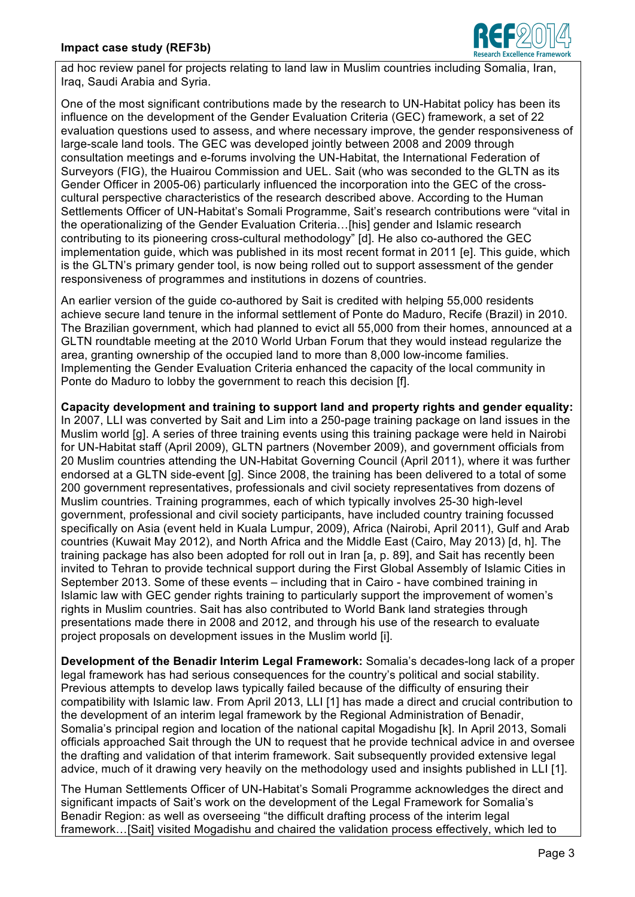

ad hoc review panel for projects relating to land law in Muslim countries including Somalia, Iran, Iraq, Saudi Arabia and Syria.

One of the most significant contributions made by the research to UN-Habitat policy has been its influence on the development of the Gender Evaluation Criteria (GEC) framework, a set of 22 evaluation questions used to assess, and where necessary improve, the gender responsiveness of large-scale land tools. The GEC was developed jointly between 2008 and 2009 through consultation meetings and e-forums involving the UN-Habitat, the International Federation of Surveyors (FIG), the Huairou Commission and UEL. Sait (who was seconded to the GLTN as its Gender Officer in 2005-06) particularly influenced the incorporation into the GEC of the crosscultural perspective characteristics of the research described above. According to the Human Settlements Officer of UN-Habitat's Somali Programme, Sait's research contributions were "vital in the operationalizing of the Gender Evaluation Criteria…[his] gender and Islamic research contributing to its pioneering cross-cultural methodology" [d]. He also co-authored the GEC implementation guide, which was published in its most recent format in 2011 [e]. This guide, which is the GLTN's primary gender tool, is now being rolled out to support assessment of the gender responsiveness of programmes and institutions in dozens of countries.

An earlier version of the guide co-authored by Sait is credited with helping 55,000 residents achieve secure land tenure in the informal settlement of Ponte do Maduro, Recife (Brazil) in 2010. The Brazilian government, which had planned to evict all 55,000 from their homes, announced at a GLTN roundtable meeting at the 2010 World Urban Forum that they would instead regularize the area, granting ownership of the occupied land to more than 8,000 low-income families. Implementing the Gender Evaluation Criteria enhanced the capacity of the local community in Ponte do Maduro to lobby the government to reach this decision [f].

**Capacity development and training to support land and property rights and gender equality:**  In 2007, LLI was converted by Sait and Lim into a 250-page training package on land issues in the Muslim world [g]. A series of three training events using this training package were held in Nairobi for UN-Habitat staff (April 2009), GLTN partners (November 2009), and government officials from 20 Muslim countries attending the UN-Habitat Governing Council (April 2011), where it was further endorsed at a GLTN side-event [g]. Since 2008, the training has been delivered to a total of some 200 government representatives, professionals and civil society representatives from dozens of Muslim countries. Training programmes, each of which typically involves 25-30 high-level government, professional and civil society participants, have included country training focussed specifically on Asia (event held in Kuala Lumpur, 2009), Africa (Nairobi, April 2011), Gulf and Arab countries (Kuwait May 2012), and North Africa and the Middle East (Cairo, May 2013) [d, h]. The training package has also been adopted for roll out in Iran [a, p. 89], and Sait has recently been invited to Tehran to provide technical support during the First Global Assembly of Islamic Cities in September 2013. Some of these events – including that in Cairo - have combined training in Islamic law with GEC gender rights training to particularly support the improvement of women's rights in Muslim countries. Sait has also contributed to World Bank land strategies through presentations made there in 2008 and 2012, and through his use of the research to evaluate project proposals on development issues in the Muslim world [i].

**Development of the Benadir Interim Legal Framework:** Somalia's decades-long lack of a proper legal framework has had serious consequences for the country's political and social stability. Previous attempts to develop laws typically failed because of the difficulty of ensuring their compatibility with Islamic law. From April 2013, LLI [1] has made a direct and crucial contribution to the development of an interim legal framework by the Regional Administration of Benadir, Somalia's principal region and location of the national capital Mogadishu [k]. In April 2013, Somali officials approached Sait through the UN to request that he provide technical advice in and oversee the drafting and validation of that interim framework. Sait subsequently provided extensive legal advice, much of it drawing very heavily on the methodology used and insights published in LLI [1].

The Human Settlements Officer of UN-Habitat's Somali Programme acknowledges the direct and significant impacts of Sait's work on the development of the Legal Framework for Somalia's Benadir Region: as well as overseeing "the difficult drafting process of the interim legal framework…[Sait] visited Mogadishu and chaired the validation process effectively, which led to